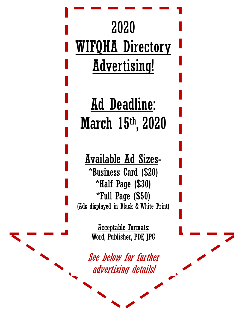